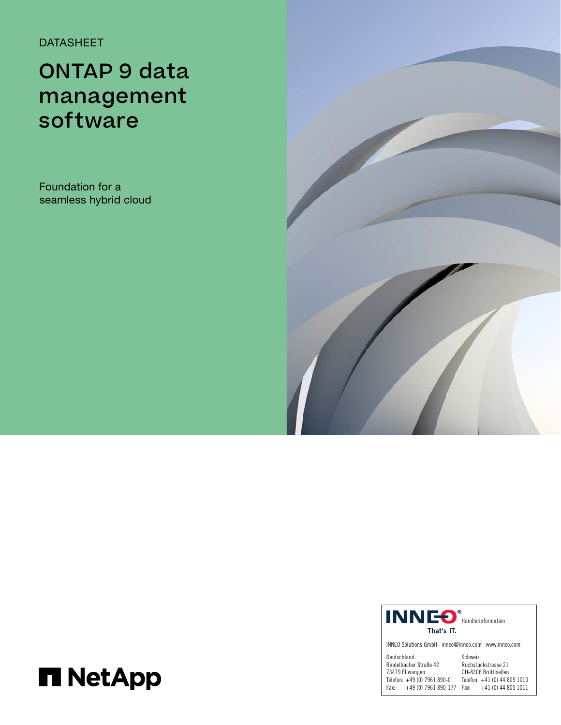DATASHEET

# ONTAP 9 data management software

Foundation for a seamless hybrid cloud





INNEO Solutions GmbH · inneo@inneo.com · www.inneo.com

| Deutschland:                 | Schweiz:                     |
|------------------------------|------------------------------|
| Rindelbacher Straße 42       | Ruchstuckstrasse 21          |
| 73479 Ellwangen              | CH-8306 Brüttisellen         |
| Telefon: +49 (0) 7961 890-0  | Telefon: +41 (0) 44 805 1010 |
| +49 (0) 7961 890-177<br>Fax: | $+41(0)$ 44 805 1011<br>Fax: |

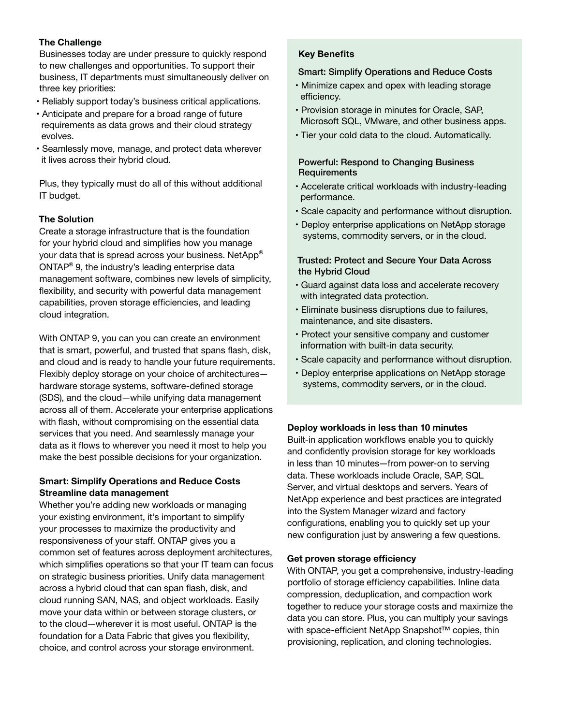#### The Challenge

Businesses today are under pressure to quickly respond to new challenges and opportunities. To support their business, IT departments must simultaneously deliver on three key priorities:

- Reliably support today's business critical applications.
- Anticipate and prepare for a broad range of future requirements as data grows and their cloud strategy evolves.
- Seamlessly move, manage, and protect data wherever it lives across their hybrid cloud.

Plus, they typically must do all of this without additional IT budget.

#### The Solution

Create a storage infrastructure that is the foundation for your hybrid cloud and simplifies how you manage your data that is spread across your business. NetApp® ONTAP® 9, the industry's leading enterprise data management software, combines new levels of simplicity, flexibility, and security with powerful data management capabilities, proven storage efficiencies, and leading cloud integration.

With ONTAP 9, you can you can create an environment that is smart, powerful, and trusted that spans flash, disk, and cloud and is ready to handle your future requirements. Flexibly deploy storage on your choice of architectures hardware storage systems, software-defined storage (SDS), and the cloud—while unifying data management across all of them. Accelerate your enterprise applications with flash, without compromising on the essential data services that you need. And seamlessly manage your data as it flows to wherever you need it most to help you make the best possible decisions for your organization.

#### Smart: Simplify Operations and Reduce Costs Streamline data management

Whether you're adding new workloads or managing your existing environment, it's important to simplify your processes to maximize the productivity and responsiveness of your staff. ONTAP gives you a common set of features across deployment architectures, which simplifies operations so that your IT team can focus on strategic business priorities. Unify data management across a hybrid cloud that can span flash, disk, and cloud running SAN, NAS, and object workloads. Easily move your data within or between storage clusters, or to the cloud—wherever it is most useful. ONTAP is the foundation for a Data Fabric that gives you flexibility, choice, and control across your storage environment.

#### Key Benefits

#### Smart: Simplify Operations and Reduce Costs

- Minimize capex and opex with leading storage efficiency.
- Provision storage in minutes for Oracle, SAP, Microsoft SQL, VMware, and other business apps.
- Tier your cold data to the cloud. Automatically.

#### Powerful: Respond to Changing Business **Requirements**

- Accelerate critical workloads with industry-leading performance.
- Scale capacity and performance without disruption.
- Deploy enterprise applications on NetApp storage systems, commodity servers, or in the cloud.

#### Trusted: Protect and Secure Your Data Across the Hybrid Cloud

- Guard against data loss and accelerate recovery with integrated data protection.
- Eliminate business disruptions due to failures, maintenance, and site disasters.
- Protect your sensitive company and customer information with built-in data security.
- Scale capacity and performance without disruption.
- Deploy enterprise applications on NetApp storage systems, commodity servers, or in the cloud.

#### Deploy workloads in less than 10 minutes

Built-in application workflows enable you to quickly and confidently provision storage for key workloads in less than 10 minutes—from power-on to serving data. These workloads include Oracle, SAP, SQL Server, and virtual desktops and servers. Years of NetApp experience and best practices are integrated into the System Manager wizard and factory configurations, enabling you to quickly set up your new configuration just by answering a few questions.

#### Get proven storage efficiency

With ONTAP, you get a comprehensive, industry-leading portfolio of storage efficiency capabilities. Inline data compression, deduplication, and compaction work together to reduce your storage costs and maximize the data you can store. Plus, you can multiply your savings with space-efficient NetApp Snapshot™ copies, thin provisioning, replication, and cloning technologies.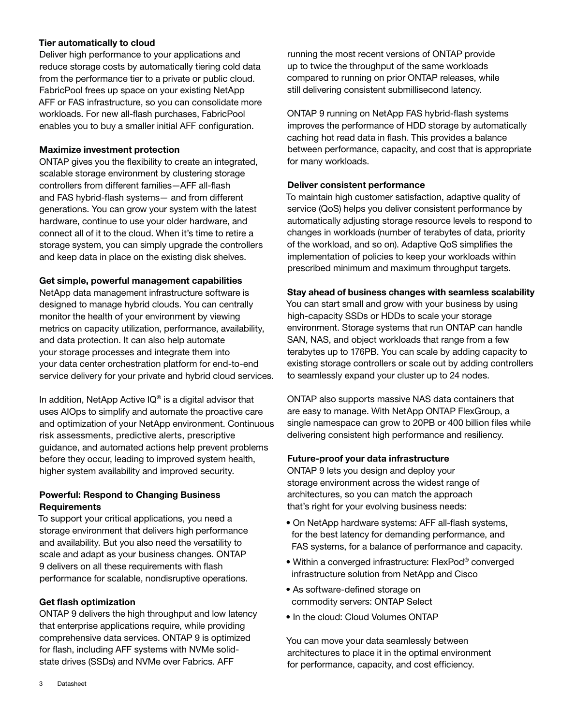#### Tier automatically to cloud

Deliver high performance to your applications and reduce storage costs by automatically tiering cold data from the performance tier to a private or public cloud. FabricPool frees up space on your existing NetApp AFF or FAS infrastructure, so you can consolidate more workloads. For new all-flash purchases, FabricPool enables you to buy a smaller initial AFF configuration.

#### Maximize investment protection

ONTAP gives you the flexibility to create an integrated, scalable storage environment by clustering storage controllers from different families—AFF all-flash and FAS hybrid-flash systems— and from different generations. You can grow your system with the latest hardware, continue to use your older hardware, and connect all of it to the cloud. When it's time to retire a storage system, you can simply upgrade the controllers and keep data in place on the existing disk shelves.

#### Get simple, powerful management capabilities

NetApp data management infrastructure software is designed to manage hybrid clouds. You can centrally monitor the health of your environment by viewing metrics on capacity utilization, performance, availability, and data protection. It can also help automate your storage processes and integrate them into your data center orchestration platform for end-to-end service delivery for your private and hybrid cloud services.

In addition, NetApp Active  $IQ^{\circledast}$  is a digital advisor that uses AIOps to simplify and automate the proactive care and optimization of your NetApp environment. Continuous risk assessments, predictive alerts, prescriptive guidance, and automated actions help prevent problems before they occur, leading to improved system health, higher system availability and improved security.

#### Powerful: Respond to Changing Business **Requirements**

To support your critical applications, you need a storage environment that delivers high performance and availability. But you also need the versatility to scale and adapt as your business changes. ONTAP 9 delivers on all these requirements with flash performance for scalable, nondisruptive operations.

#### Get flash optimization

ONTAP 9 delivers the high throughput and low latency that enterprise applications require, while providing comprehensive data services. ONTAP 9 is optimized for flash, including AFF systems with NVMe solidstate drives (SSDs) and NVMe over Fabrics. AFF

running the most recent versions of ONTAP provide up to twice the throughput of the same workloads compared to running on prior ONTAP releases, while still delivering consistent submillisecond latency.

ONTAP 9 running on NetApp FAS hybrid-flash systems improves the performance of HDD storage by automatically caching hot read data in flash. This provides a balance between performance, capacity, and cost that is appropriate for many workloads.

#### Deliver consistent performance

To maintain high customer satisfaction, adaptive quality of service (QoS) helps you deliver consistent performance by automatically adjusting storage resource levels to respond to changes in workloads (number of terabytes of data, priority of the workload, and so on). Adaptive QoS simplifies the implementation of policies to keep your workloads within prescribed minimum and maximum throughput targets.

#### Stay ahead of business changes with seamless scalability

You can start small and grow with your business by using high-capacity SSDs or HDDs to scale your storage environment. Storage systems that run ONTAP can handle SAN, NAS, and object workloads that range from a few terabytes up to 176PB. You can scale by adding capacity to existing storage controllers or scale out by adding controllers to seamlessly expand your cluster up to 24 nodes.

ONTAP also supports massive NAS data containers that are easy to manage. With NetApp ONTAP FlexGroup, a single namespace can grow to 20PB or 400 billion files while delivering consistent high performance and resiliency.

#### Future-proof your data infrastructure

ONTAP 9 lets you design and deploy your storage environment across the widest range of architectures, so you can match the approach that's right for your evolving business needs:

- On NetApp hardware systems: AFF all-flash systems, for the best latency for demanding performance, and FAS systems, for a balance of performance and capacity.
- Within a converged infrastructure: FlexPod® converged infrastructure solution from NetApp and Cisco
- As software-defined storage on commodity servers: ONTAP Select
- In the cloud: Cloud Volumes ONTAP

You can move your data seamlessly between architectures to place it in the optimal environment for performance, capacity, and cost efficiency.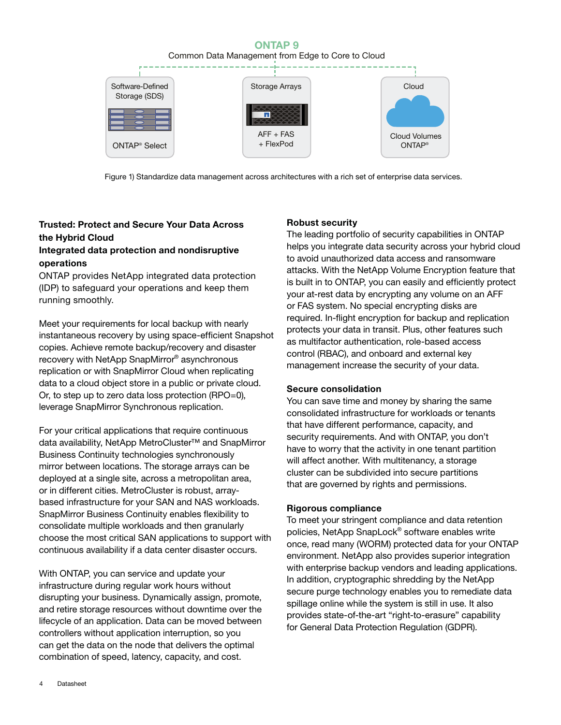## **ONTAP 9**

Common Data Management from Edge to Core to Cloud



Figure 1) Standardize data management across architectures with a rich set of enterprise data services.

### **Trusted: Protect and Secure Your Data Across the Hybrid Cloud Integrated data protection and nondisruptive**

#### **operations**

ONTAP provides NetApp integrated data protection (IDP) to safeguard your operations and keep them running smoothly.

Meet your requirements for local backup with nearly instantaneous recovery by using space-efficient Snapshot copies. Achieve remote backup/recovery and disaster recovery with NetApp SnapMirror® asynchronous replication or with SnapMirror Cloud when replicating data to a cloud object store in a public or private cloud. Or, to step up to zero data loss protection (RPO=0), leverage SnapMirror Synchronous replication.

For your critical applications that require continuous data availability, NetApp MetroCluster™ and SnapMirror Business Continuity technologies synchronously mirror between locations. The storage arrays can be deployed at a single site, across a metropolitan area, or in different cities. MetroCluster is robust, arraybased infrastructure for your SAN and NAS workloads. SnapMirror Business Continuity enables flexibility to consolidate multiple workloads and then granularly choose the most critical SAN applications to support with continuous availability if a data center disaster occurs.

With ONTAP, you can service and update your infrastructure during regular work hours without disrupting your business. Dynamically assign, promote, and retire storage resources without downtime over the lifecycle of an application. Data can be moved between controllers without application interruption, so you can get the data on the node that delivers the optimal combination of speed, latency, capacity, and cost.

#### Robust security

The leading portfolio of security capabilities in ONTAP helps you integrate data security across your hybrid cloud to avoid unauthorized data access and ransomware attacks. With the NetApp Volume Encryption feature that is built in to ONTAP, you can easily and efficiently protect your at-rest data by encrypting any volume on an AFF or FAS system. No special encrypting disks are required. In-flight encryption for backup and replication protects your data in transit. Plus, other features such as multifactor authentication, role-based access control (RBAC), and onboard and external key management increase the security of your data.

#### Secure consolidation

You can save time and money by sharing the same consolidated infrastructure for workloads or tenants that have different performance, capacity, and security requirements. And with ONTAP, you don't have to worry that the activity in one tenant partition will affect another. With multitenancy, a storage cluster can be subdivided into secure partitions that are governed by rights and permissions.

#### Rigorous compliance

To meet your stringent compliance and data retention policies, NetApp SnapLock® software enables write once, read many (WORM) protected data for your ONTAP environment. NetApp also provides superior integration with enterprise backup vendors and leading applications. In addition, cryptographic shredding by the NetApp secure purge technology enables you to remediate data spillage online while the system is still in use. It also provides state-of-the-art "right-to-erasure" capability for General Data Protection Regulation (GDPR).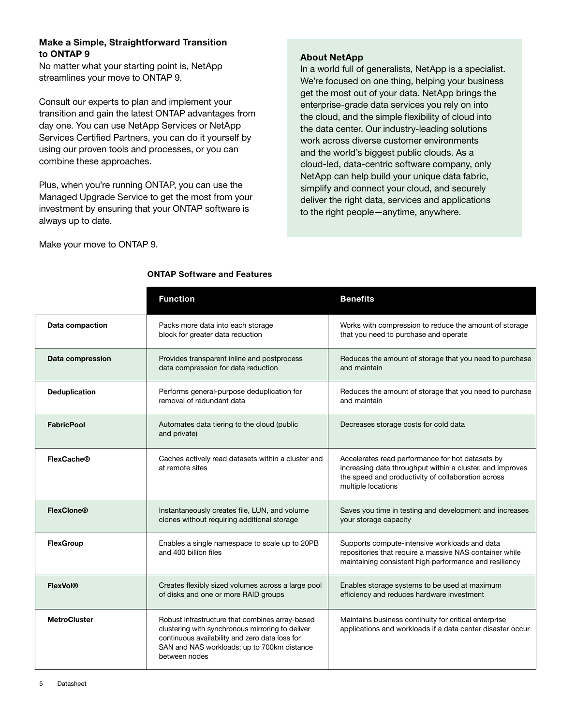#### Make a Simple, Straightforward Transition to ONTAP 9

No matter what your starting point is, NetApp streamlines your move to ONTAP 9.

Consult our experts to plan and implement your transition and gain the latest ONTAP advantages from day one. You can use NetApp Services or NetApp Services Certified Partners, you can do it yourself by using our proven tools and processes, or you can combine these approaches.

Plus, when you're running ONTAP, you can use the Managed Upgrade Service to get the most from your investment by ensuring that your ONTAP software is always up to date.

#### About NetApp

In a world full of generalists, NetApp is a specialist. We're focused on one thing, helping your business get the most out of your data. NetApp brings the enterprise-grade data services you rely on into the cloud, and the simple flexibility of cloud into the data center. Our industry-leading solutions work across diverse customer environments and the world's biggest public clouds. As a cloud-led, data-centric software company, only NetApp can help build your unique data fabric, simplify and connect your cloud, and securely deliver the right data, services and applications to the right people—anytime, anywhere.

Make your move to ONTAP 9.

|                     | <b>Function</b>                                                                                                                                                                                                       | <b>Benefits</b>                                                                                                                                                                           |
|---------------------|-----------------------------------------------------------------------------------------------------------------------------------------------------------------------------------------------------------------------|-------------------------------------------------------------------------------------------------------------------------------------------------------------------------------------------|
| Data compaction     | Packs more data into each storage<br>block for greater data reduction                                                                                                                                                 | Works with compression to reduce the amount of storage<br>that you need to purchase and operate                                                                                           |
| Data compression    | Provides transparent inline and postprocess<br>data compression for data reduction                                                                                                                                    | Reduces the amount of storage that you need to purchase<br>and maintain                                                                                                                   |
| Deduplication       | Performs general-purpose deduplication for<br>removal of redundant data                                                                                                                                               | Reduces the amount of storage that you need to purchase<br>and maintain                                                                                                                   |
| <b>FabricPool</b>   | Automates data tiering to the cloud (public<br>and private)                                                                                                                                                           | Decreases storage costs for cold data                                                                                                                                                     |
| <b>FlexCache®</b>   | Caches actively read datasets within a cluster and<br>at remote sites                                                                                                                                                 | Accelerates read performance for hot datasets by<br>increasing data throughput within a cluster, and improves<br>the speed and productivity of collaboration across<br>multiple locations |
| <b>FlexClone®</b>   | Instantaneously creates file, LUN, and volume<br>clones without requiring additional storage                                                                                                                          | Saves you time in testing and development and increases<br>your storage capacity                                                                                                          |
| <b>FlexGroup</b>    | Enables a single namespace to scale up to 20PB<br>and 400 billion files                                                                                                                                               | Supports compute-intensive workloads and data<br>repositories that require a massive NAS container while<br>maintaining consistent high performance and resiliency                        |
| <b>FlexVol®</b>     | Creates flexibly sized volumes across a large pool<br>of disks and one or more RAID groups                                                                                                                            | Enables storage systems to be used at maximum<br>efficiency and reduces hardware investment                                                                                               |
| <b>MetroCluster</b> | Robust infrastructure that combines array-based<br>clustering with synchronous mirroring to deliver<br>continuous availability and zero data loss for<br>SAN and NAS workloads; up to 700km distance<br>between nodes | Maintains business continuity for critical enterprise<br>applications and workloads if a data center disaster occur                                                                       |

#### ONTAP Software and Features